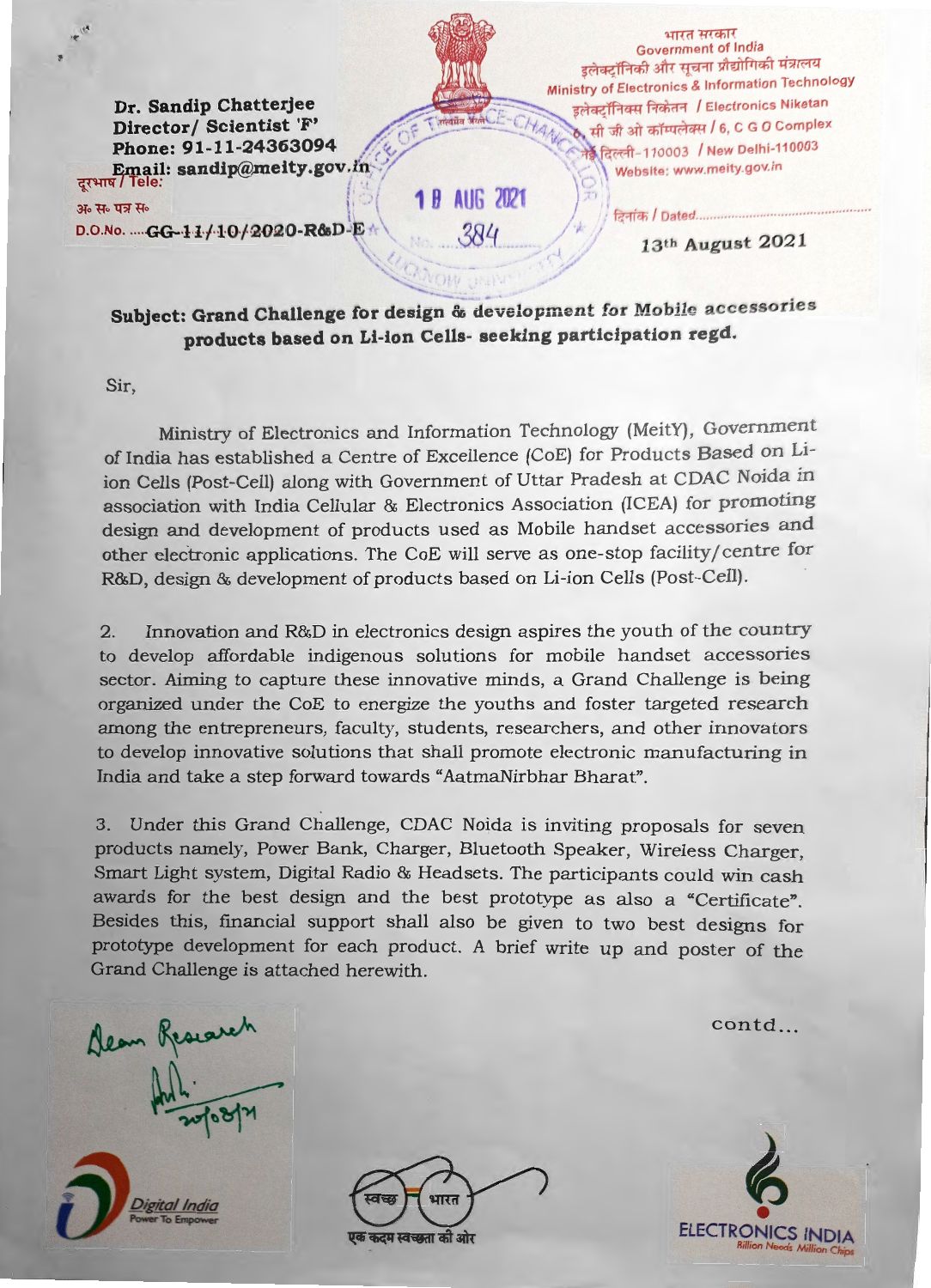Dr. Sandip Chatterjee Director/ Scientist 'F' Phone: 91-11-24363094 Email: sandip@meity.gov.in

भारत सरकार **Government of India** इलेक्ट्रॉनिकी और सूचना प्रौद्योगिकी मंत्रालय Ministry of Electronics & Information Technology इलेक्टॉनिक्स निकेतन / Electronics Niketan सी जी ओ कॉम्पलेक्स / 6, C G O Complex नेई दिल्ली-110003 / New Delhi-110003 Website: www.meity.gov.in

दिनांक / Dated...

अ॰ स॰ पत्र स॰

D.O.No. .... GG-11/10/2020-R&D-E

1 B AUG 2021

384

13th August 2021

Subject: Grand Challenge for design & development for Mobile accessories products based on Li-ion Cells- seeking participation regd.

Sir.

Ministry of Electronics and Information Technology (MeitY), Government of India has established a Centre of Excellence (CoE) for Products Based on Liion Cells (Post-Cell) along with Government of Uttar Pradesh at CDAC Noida in association with India Cellular & Electronics Association (ICEA) for promoting design and development of products used as Mobile handset accessories and other electronic applications. The CoE will serve as one-stop facility/centre for R&D, design & development of products based on Li-ion Cells (Post-Cell).

Innovation and R&D in electronics design aspires the youth of the country  $2.$ to develop affordable indigenous solutions for mobile handset accessories sector. Aiming to capture these innovative minds, a Grand Challenge is being organized under the CoE to energize the youths and foster targeted research among the entrepreneurs, faculty, students, researchers, and other innovators to develop innovative solutions that shall promote electronic manufacturing in India and take a step forward towards "AatmaNirbhar Bharat".

3. Under this Grand Challenge, CDAC Noida is inviting proposals for seven products namely, Power Bank, Charger, Bluetooth Speaker, Wireless Charger, Smart Light system, Digital Radio & Headsets. The participants could win cash awards for the best design and the best prototype as also a "Certificate". Besides this, financial support shall also be given to two best designs for prototype development for each product. A brief write up and poster of the Grand Challenge is attached herewith.

contd...

Dean Research

दम स्वच्छता की ओर

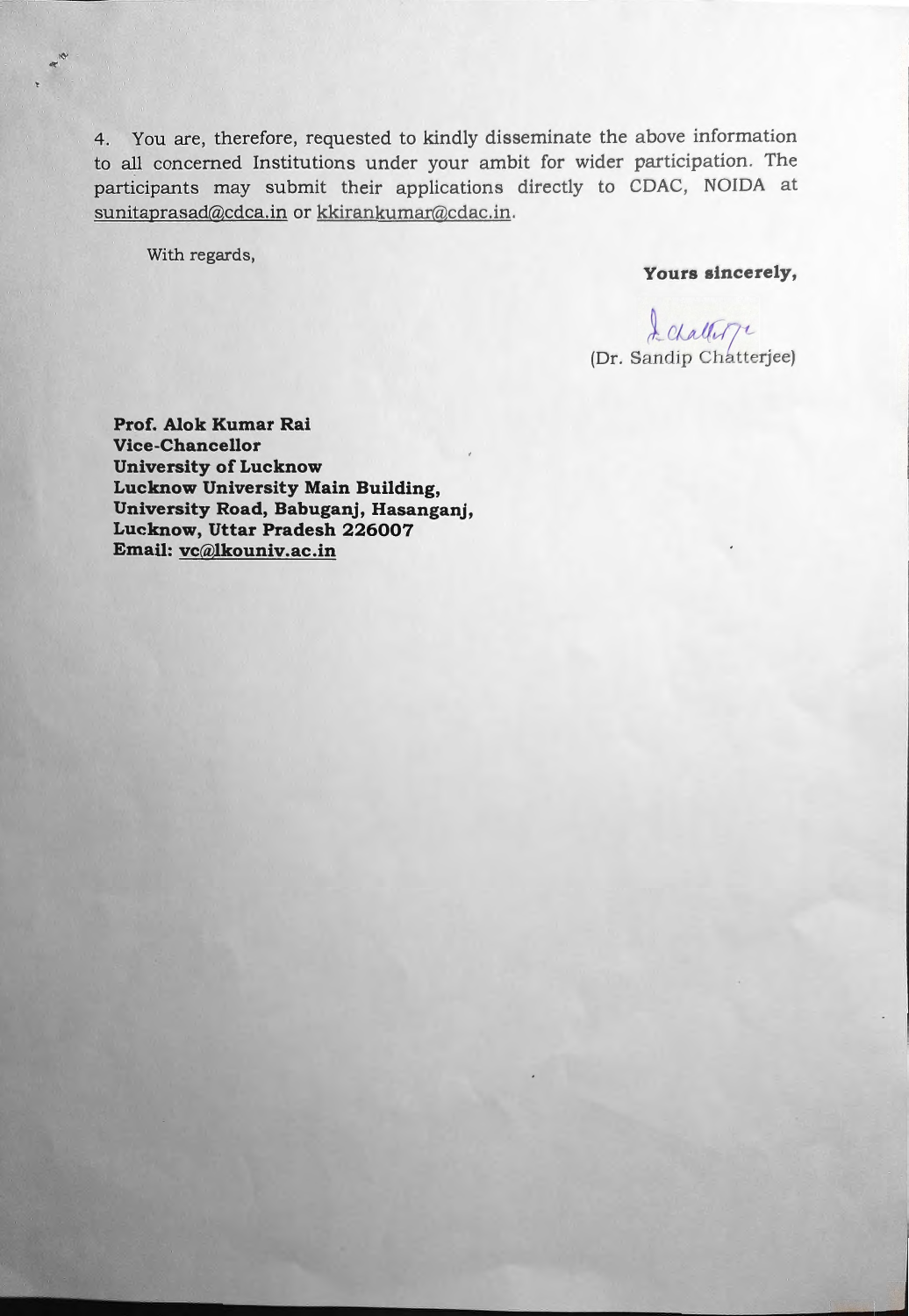4. You are, therefore, requested to kindly disseminate the above information to all concerned Institutions under your ambit for wider participation. The participants may submit their applications directly to CDAC, NOIDA at sunitaprasad@cdca.in or kkirankumar@cdac.in.

With regards,

**Yours sincerely,** 

L *Challer* 7<sup>t</sup><br>(Dr. Sandip Chatterjee)

**Prof. Alok Kumar Rai Vice-Chancellor University of Lucknow Lucknow University Main Building, University Road, Babuganj, Hasanganj, Lucknow, Uttar Pradesh 226007 Email: vc@Jkouniv.ac.in**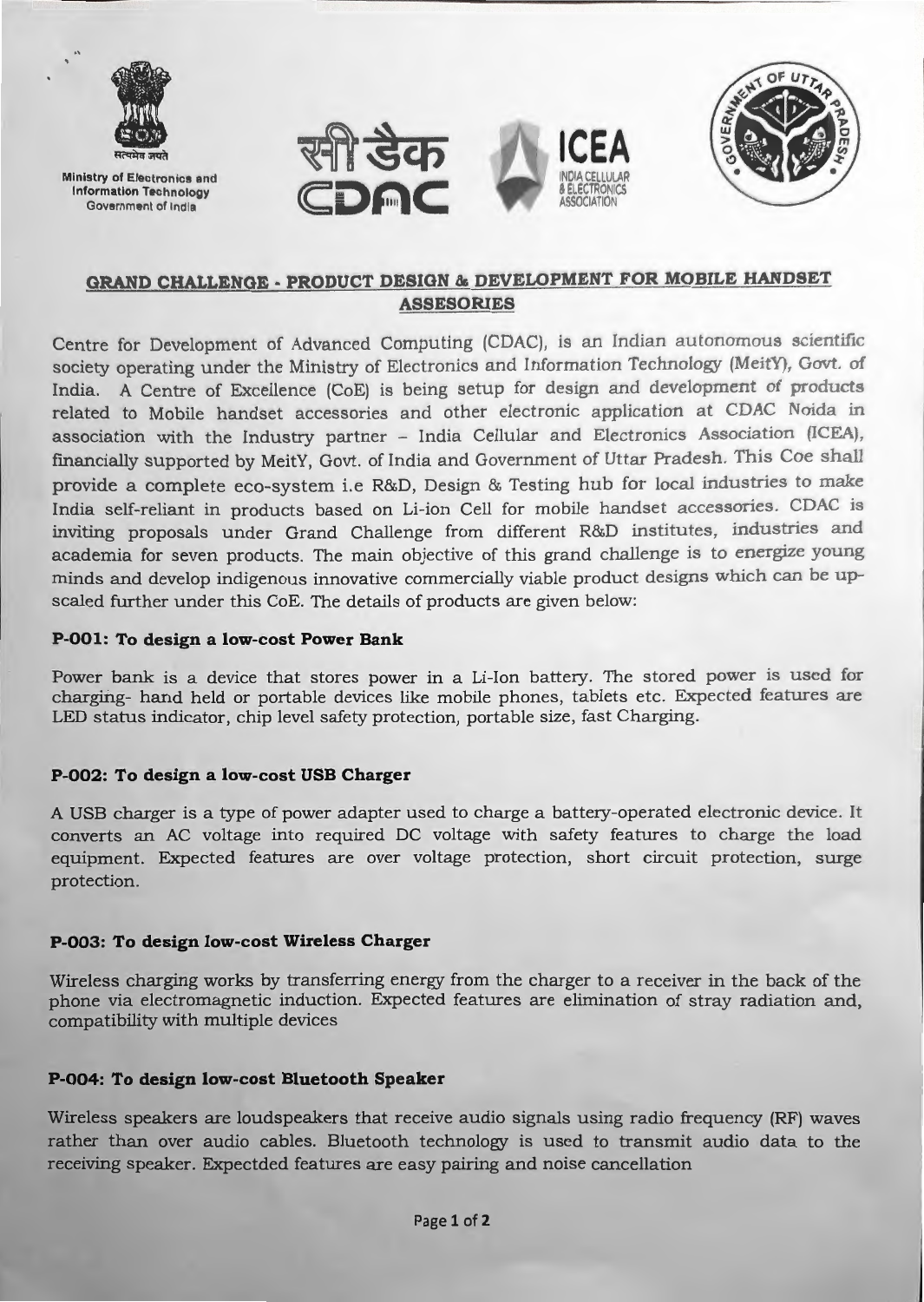

**Ministry** of Electronics and **Information** Technology Government of India







# **GRAND CHALLENGE - PRODUCT DESIGN & DEVELOPMENT FOR MOBILE HANDSET ASSESORIES**

Centre for Development of Advanced Computing (CDAC), is an Indian autonomous scientific society operating under the Ministry of Electronics and Information Technology (MeitY), Govt. of India. A Centre of Excellence (CoE) is being setup for design and development of products related to Mobile handset accessories and other electronic application at CDAC Noida in association with the Industry partner - India Cellular and Electronics Association (ICEA), financially supported by MeitY, Govt. of India and Government of Uttar Pradesh. This Coe shall provide a complete eco-system i.e R&D, Design & Testing hub for local industries to make India self-reliant in products based on Li-ion Cell for mobile handset accessories. CDAC is inviting proposals under Grand Challenge from different R&D institutes, industries and academia for seven products. The main objective of this grand challenge is to energize young minds and develop indigenous innovative commercially viable product designs which can be upscaled further under this CoE. The details of products are given below:

#### **P-001: To design a low-cost Power Bank**

Power bank is a device that stores power in a Li-Ion battery. The stored power is used for charging- hand held or portable devices like mobile phones, tablets etc. Expected features are LED status indicator, chip level safety protection, portable size, fast Charging.

#### **P-002: To design a low-cost USB Charger**

A USB charger is a type of power adapter used to charge a battery-operated electronic device. It converts an AC voltage into required DC voltage with safety features to charge the load equipment. Expected features are over voltage protection, short circuit protection, surge protection.

#### **P-003: To design low-cost Wireless Charger**

Wireless charging works by transferring energy from the charger to a receiver in the back of the phone via electromagnetic induction. Expected features are elimination of stray radiation and, compatibility with multiple devices

#### **P-004: To design low-cost Bluetooth Speaker**

Wireless speakers are loudspeakers that receive audio signals using radio frequency (RF) waves rather than over audio cables. Bluetooth technology is used to transmit audio data to the receiving speaker. Expectded features are easy pairing and noise cancellation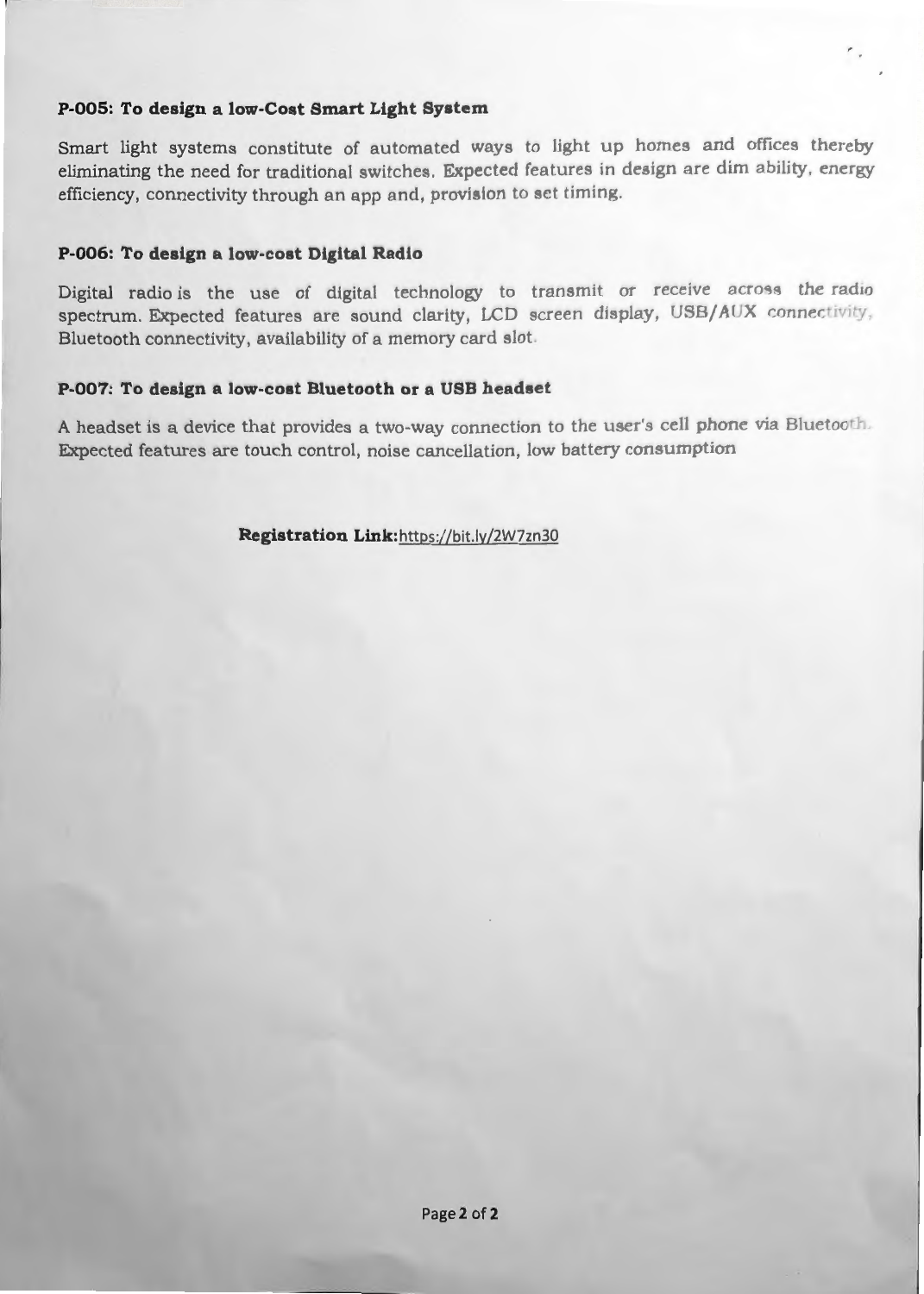#### **P-005: To design a low-Cost Smart Light System**

Smart light systems constitute of automated ways to light up homes and offices thereby eliminating the need for traditional switches. Expected features in design are dim ability, energy efficiency, connectivity through an app and, provision to set timing.

#### **P-006: To design a low-cost Digital Radio**

Digital radio is the use of digital technology to transmit or receive across the radio spectrum. Expected features are sound clarity, LCD screen display, USB/AUX connectivity, Bluetooth connectivity, availability of a memory card slot.

## **P-007: To design a low-cost Bluetooth or a USB headset**

A headset is a device that provides a two-way connection to the user's cell phone via Bluetooth. Expected features are touch control, noise cancellation, low battery consumption

Registration Link: https://bit.ly/2W7zn30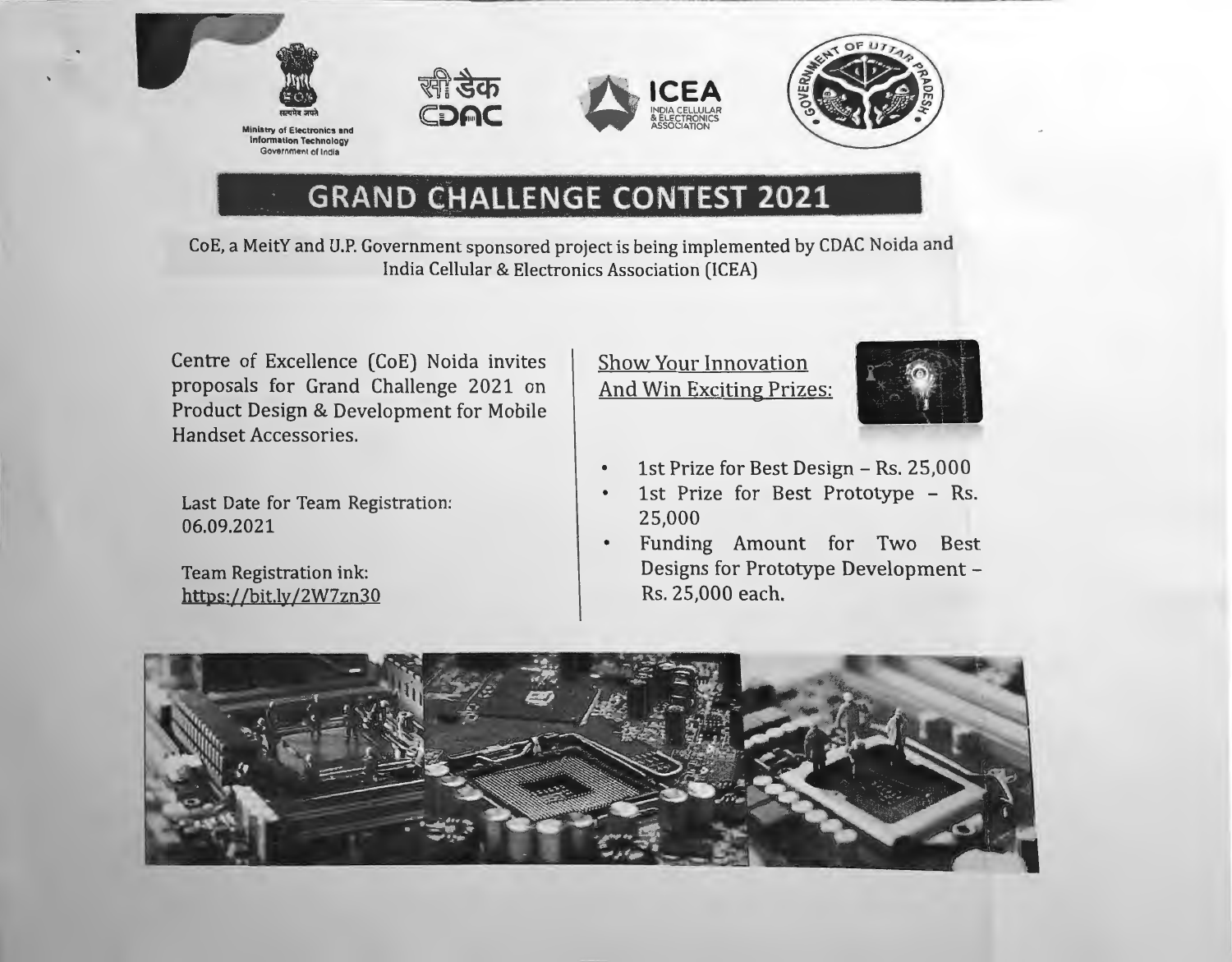

**Ministry of Electronics and** Information Technology Government of India







# \_ · **GRAND C}iALLENGE CONTEST 2021**

CoE, a MeitY and U.P. Government sponsored project is being implemented by CDAC Noida and India Cellular & Electronics Association (ICEA)

Centre of Excellence (CoE) Noida invites proposals for Grand Challenge 2021 on Product Design & Development for Mobile Handset Accessories.

Last Date for Team Registration: 06.09.2021

Team Registration ink: https: //bit.ly/2W7zn30

# Show Your Innovation And Win Exciting Prizes:



- 1st Prize for Best Design Rs. 25,000  $\bullet$
- 1st Prize for Best Prototype Rs.  $\bullet$ 25,000
- Funding Amount for Two Best Designs for Prototype Development -- Rs. 25,000 each.